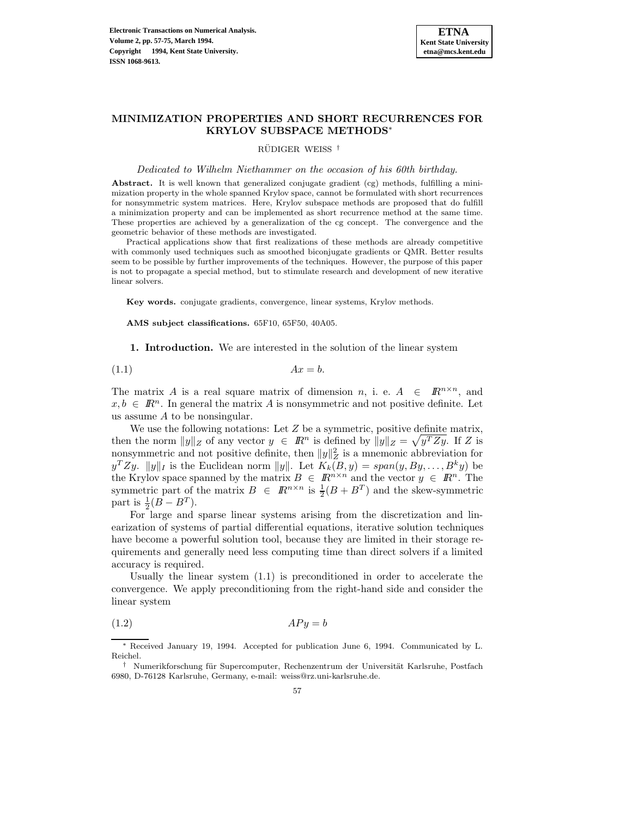

# **MINIMIZATION PROPERTIES AND SHORT RECURRENCES FOR KRYLOV SUBSPACE METHODS**<sup>∗</sup>

RÜDIGER WEISS<sup>†</sup>

Dedicated to Wilhelm Niethammer on the occasion of his 60th birthday.

**Abstract.** It is well known that generalized conjugate gradient (cg) methods, fulfilling a minimization property in the whole spanned Krylov space, cannot be formulated with short recurrences for nonsymmetric system matrices. Here, Krylov subspace methods are proposed that do fulfill a minimization property and can be implemented as short recurrence method at the same time. These properties are achieved by a generalization of the cg concept. The convergence and the geometric behavior of these methods are investigated.

Practical applications show that first realizations of these methods are already competitive with commonly used techniques such as smoothed biconjugate gradients or QMR. Better results seem to be possible by further improvements of the techniques. However, the purpose of this paper is not to propagate a special method, but to stimulate research and development of new iterative linear solvers.

**Key words.** conjugate gradients, convergence, linear systems, Krylov methods.

**AMS subject classifications.** 65F10, 65F50, 40A05.

**1. Introduction.** We are interested in the solution of the linear system

$$
(1.1) \t\t Ax = b.
$$

The matrix A is a real square matrix of dimension n, i. e.  $A \in \mathbb{R}^{n \times n}$ , and  $x,b \in \mathbb{R}^n$ . In general the matrix A is nonsymmetric and not positive definite. Let us assume A to be nonsingular.

We use the following notations: Let  $Z$  be a symmetric, positive definite matrix, then the norm  $||y||_Z$  of any vector  $y \in \mathbb{R}^n$  is defined by  $||y||_Z = \sqrt{y^T Z y}$ . If Z is nonsymmetric and not positive definite, then  $||y||_Z^2$  is a mnemonic abbreviation for  $y^T Z y$ .  $||y||_I$  is the Euclidean norm  $||y||$ . Let  $K_k(B,y) = span(y,By,\ldots,B^k y)$  be the Krylov space spanned by the matrix  $B \in \mathbb{R}^{n \times n}$  and the vector  $y \in \mathbb{R}^n$ . The symmetric part of the matrix  $B \in \mathbb{R}^{n \times n}$  is  $\frac{1}{2}(B + B^T)$  and the skew-symmetric part is  $\frac{1}{2}(B - B^T)$ .

For large and sparse linear systems arising from the discretization and linearization of systems of partial differential equations, iterative solution techniques have become a powerful solution tool, because they are limited in their storage requirements and generally need less computing time than direct solvers if a limited accuracy is required.

Usually the linear system (1.1) is preconditioned in order to accelerate the convergence. We apply preconditioning from the right-hand side and consider the linear system

$$
(1.2)\t\t APy = b
$$

∗ Received January 19, 1994. Accepted for publication June 6, 1994. Communicated by L. Reichel.

<sup>†</sup> Numerikforschung für Supercomputer, Rechenzentrum der Universität Karlsruhe, Postfach 6980, D-76128 Karlsruhe, Germany, e-mail: weiss@rz.uni-karlsruhe.de.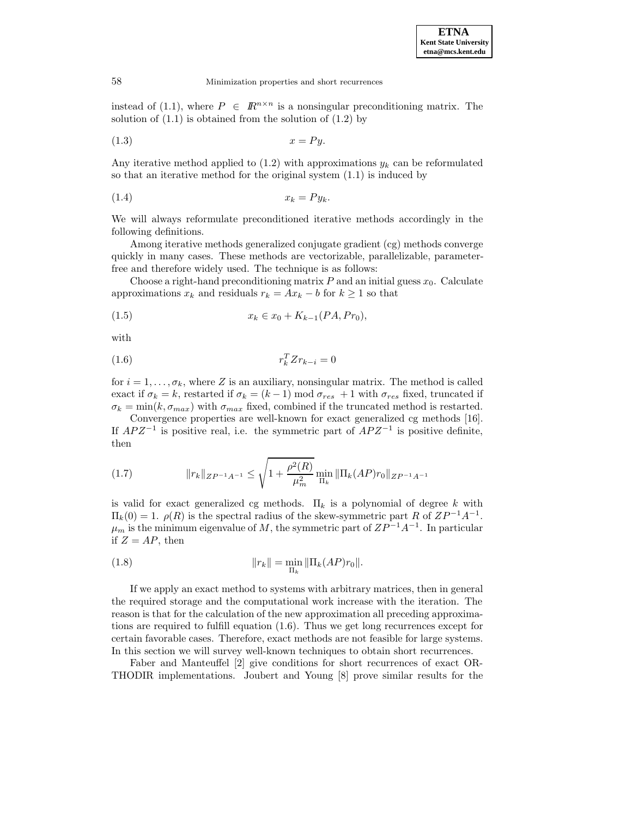instead of (1.1), where  $P \in \mathbb{R}^{n \times n}$  is a nonsingular preconditioning matrix. The solution of  $(1.1)$  is obtained from the solution of  $(1.2)$  by

$$
(1.3) \t\t x = Py.
$$

Any iterative method applied to  $(1.2)$  with approximations  $y_k$  can be reformulated so that an iterative method for the original system (1.1) is induced by

$$
(1.4) \t\t x_k = Py_k.
$$

We will always reformulate preconditioned iterative methods accordingly in the following definitions.

Among iterative methods generalized conjugate gradient (cg) methods converge quickly in many cases. These methods are vectorizable, parallelizable, parameterfree and therefore widely used. The technique is as follows:

Choose a right-hand preconditioning matrix  $P$  and an initial guess  $x_0$ . Calculate approximations  $x_k$  and residuals  $r_k = Ax_k - b$  for  $k \ge 1$  so that

(1.5) 
$$
x_k \in x_0 + K_{k-1}(PA, Pr_0),
$$

with

$$
(1.6)\qquad \qquad r_k^T Z r_{k-i} = 0
$$

for  $i = 1, \ldots, \sigma_k$ , where Z is an auxiliary, nonsingular matrix. The method is called exact if  $\sigma_k = k$ , restarted if  $\sigma_k = (k-1) \mod \sigma_{res} + 1$  with  $\sigma_{res}$  fixed, truncated if  $\sigma_k = \min(k, \sigma_{max})$  with  $\sigma_{max}$  fixed, combined if the truncated method is restarted.

Convergence properties are well-known for exact generalized cg methods [16]. If  $APZ^{-1}$  is positive real, i.e. the symmetric part of  $APZ^{-1}$  is positive definite, then

(1.7) 
$$
||r_k||_{ZP^{-1}A^{-1}} \leq \sqrt{1 + \frac{\rho^2(R)}{\mu_m^2}} \min_{\Pi_k} ||\Pi_k(AP)r_0||_{ZP^{-1}A^{-1}}
$$

is valid for exact generalized cg methods.  $\Pi_k$  is a polynomial of degree k with  $\Pi_k(0) = 1$ .  $\rho(R)$  is the spectral radius of the skew-symmetric part R of  $ZP^{-1}A^{-1}$ .  $\mu_m$  is the minimum eigenvalue of M, the symmetric part of  $ZP^{-1}A^{-1}$ . In particular if  $Z = AP$ , then

(1.8) 
$$
||r_k|| = \min_{\Pi_k} ||\Pi_k(AP)r_0||.
$$

If we apply an exact method to systems with arbitrary matrices, then in general the required storage and the computational work increase with the iteration. The reason is that for the calculation of the new approximation all preceding approximations are required to fulfill equation (1.6). Thus we get long recurrences except for certain favorable cases. Therefore, exact methods are not feasible for large systems. In this section we will survey well-known techniques to obtain short recurrences.

Faber and Manteuffel [2] give conditions for short recurrences of exact OR-THODIR implementations. Joubert and Young [8] prove similar results for the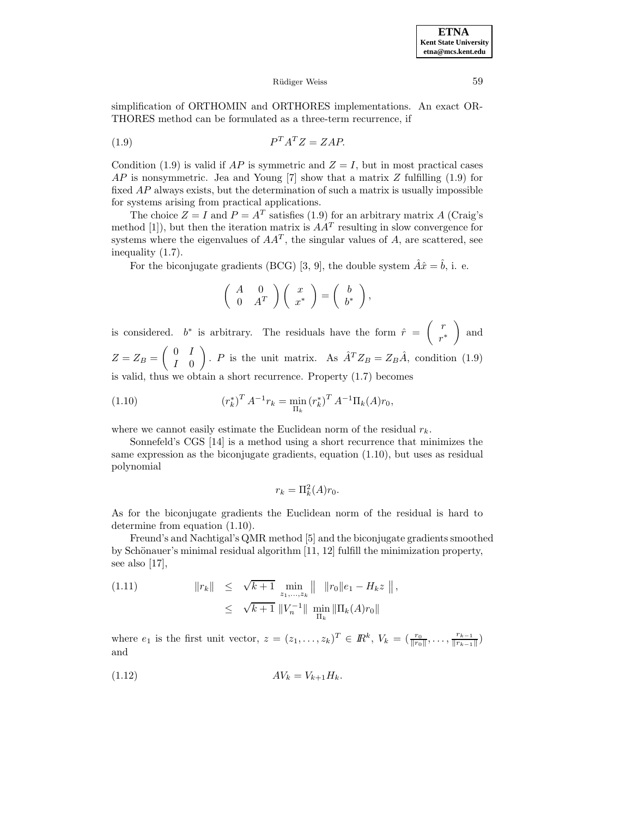simplification of ORTHOMIN and ORTHORES implementations. An exact OR-THORES method can be formulated as a three-term recurrence, if

$$
(1.9) \t\t PT AT Z = ZAP.
$$

Condition (1.9) is valid if AP is symmetric and  $Z = I$ , but in most practical cases AP is nonsymmetric. Jea and Young [7] show that a matrix  $Z$  fulfilling (1.9) for fixed AP always exists, but the determination of such a matrix is usually impossible for systems arising from practical applications.

The choice  $Z = I$  and  $P = A<sup>T</sup>$  satisfies (1.9) for an arbitrary matrix A (Craig's method [1]), but then the iteration matrix is  $AA<sup>T</sup>$  resulting in slow convergence for systems where the eigenvalues of  $AA<sup>T</sup>$ , the singular values of A, are scattered, see inequality (1.7).

For the biconjugate gradients (BCG) [3, 9], the double system  $\hat{A}\hat{x} = \hat{b}$ , i. e.

$$
\left(\begin{array}{cc} A & 0 \\ 0 & A^T \end{array}\right)\left(\begin{array}{c} x \\ x^* \end{array}\right) = \left(\begin{array}{c} b \\ b^* \end{array}\right),
$$

is considered. b<sup>\*</sup> is arbitrary. The residuals have the form  $\hat{r} = \begin{pmatrix} r & r \ r \end{pmatrix}$ r∗ ) and  $Z = Z_B = \begin{pmatrix} 0 & I \\ I & 0 \end{pmatrix}$ I 0 ). P is the unit matrix. As  $\hat{A}^T Z_B = Z_B \hat{A}$ , condition (1.9) is valid, thus we obtain a short recurrence. Property (1.7) becomes

(1.10) 
$$
\left(r_k^*\right)^T A^{-1} r_k = \min_{\Pi_k} \left(r_k^*\right)^T A^{-1} \Pi_k(A) r_0,
$$

where we cannot easily estimate the Euclidean norm of the residual  $r_k$ .

Sonnefeld's CGS [14] is a method using a short recurrence that minimizes the same expression as the biconjugate gradients, equation (1.10), but uses as residual polynomial

$$
r_k = \Pi_k^2(A)r_0.
$$

As for the biconjugate gradients the Euclidean norm of the residual is hard to determine from equation (1.10).

Freund's and Nachtigal's QMR method [5] and the biconjugate gradients smoothed by Schönauer's minimal residual algorithm  $[11, 12]$  fulfill the minimization property, see also [17],

(1.11) 
$$
\|r_k\| \leq \sqrt{k+1} \min_{z_1, ..., z_k} \|\|r_0\|e_1 - H_k z\|,
$$
  

$$
\leq \sqrt{k+1} \|V_n^{-1}\| \min_{\Pi_k} \|\Pi_k(A)r_0\|
$$

where  $e_1$  is the first unit vector,  $z = (z_1, \ldots, z_k)^T \in \mathbb{R}^k$ ,  $V_k = (\frac{r_0}{\|r_0\|}, \ldots, \frac{r_{k-1}}{\|r_{k-1}\|})$ and

$$
(1.12)\qquad \qquad AV_k = V_{k+1}H_k.
$$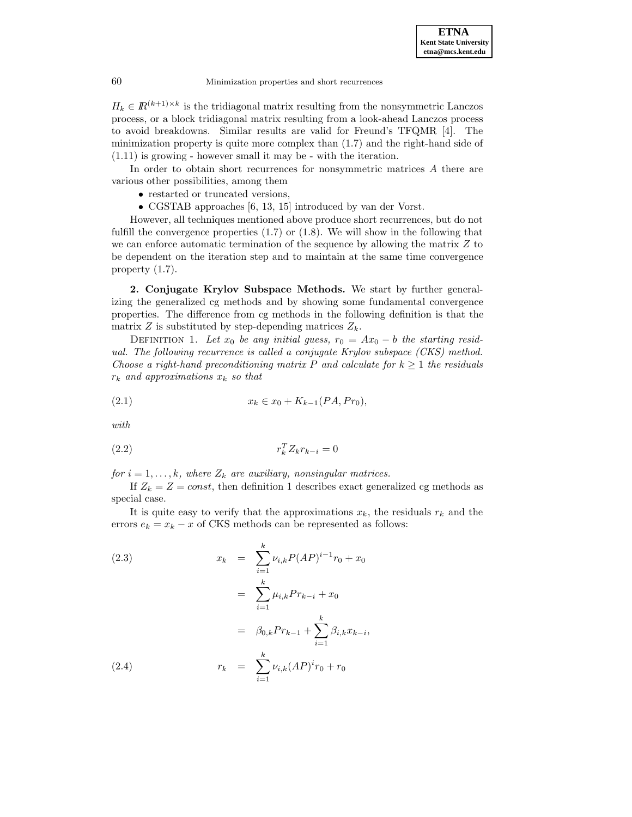$H_k \in \mathbb{R}^{(k+1)\times k}$  is the tridiagonal matrix resulting from the nonsymmetric Lanczos process, or a block tridiagonal matrix resulting from a look-ahead Lanczos process to avoid breakdowns. Similar results are valid for Freund's TFQMR [4]. The minimization property is quite more complex than (1.7) and the right-hand side of (1.11) is growing - however small it may be - with the iteration.

In order to obtain short recurrences for nonsymmetric matrices A there are various other possibilities, among them

- restarted or truncated versions,
- CGSTAB approaches [6, 13, 15] introduced by van der Vorst.

However, all techniques mentioned above produce short recurrences, but do not fulfill the convergence properties  $(1.7)$  or  $(1.8)$ . We will show in the following that we can enforce automatic termination of the sequence by allowing the matrix Z to be dependent on the iteration step and to maintain at the same time convergence property (1.7).

**2. Conjugate Krylov Subspace Methods.** We start by further generalizing the generalized cg methods and by showing some fundamental convergence properties. The difference from cg methods in the following definition is that the matrix Z is substituted by step-depending matrices  $Z_k$ .

DEFINITION 1. Let  $x_0$  be any initial guess,  $r_0 = Ax_0 - b$  the starting residual. The following recurrence is called a conjugate Krylov subspace (CKS) method. Choose a right-hand preconditioning matrix P and calculate for  $k \geq 1$  the residuals  $r_k$  and approximations  $x_k$  so that

(2.1) 
$$
x_k \in x_0 + K_{k-1}(PA, Pr_0),
$$

with

$$
r_k^T Z_k r_{k-i} = 0
$$

for  $i = 1, \ldots, k$ , where  $Z_k$  are auxiliary, nonsingular matrices.

If  $Z_k = Z = const$ , then definition 1 describes exact generalized cg methods as special case.

It is quite easy to verify that the approximations  $x_k$ , the residuals  $r_k$  and the errors  $e_k = x_k - x$  of CKS methods can be represented as follows:

(2.3)  
\n
$$
x_{k} = \sum_{i=1}^{k} \nu_{i,k} P(AP)^{i-1} r_{0} + x_{0}
$$
\n
$$
= \sum_{i=1}^{k} \mu_{i,k} Pr_{k-i} + x_{0}
$$
\n
$$
= \beta_{0,k} Pr_{k-1} + \sum_{i=1}^{k} \beta_{i,k} x_{k-i},
$$
\n(2.4)  
\n
$$
r_{k} = \sum_{i=1}^{k} \nu_{i,k} (AP)^{i} r_{0} + r_{0}
$$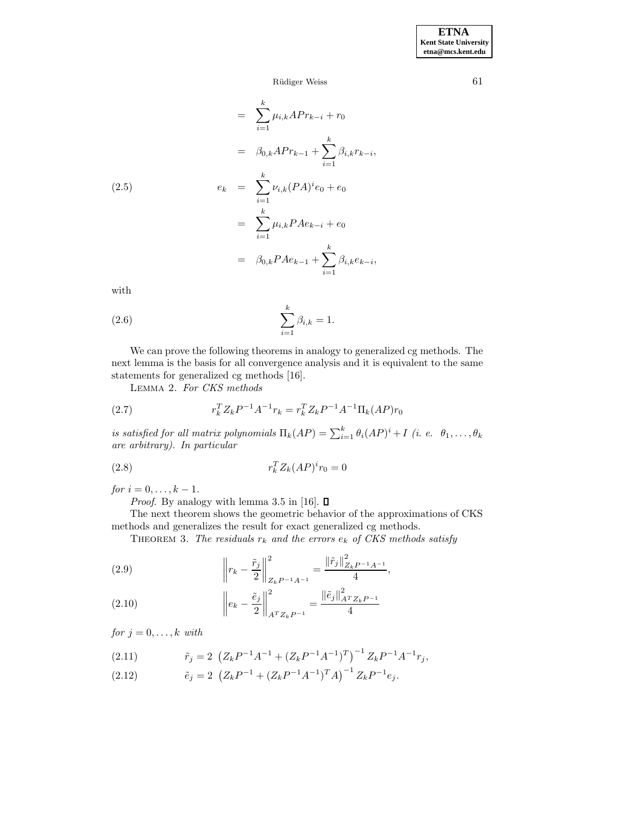$$
= \sum_{i=1}^{k} \mu_{i,k} A P r_{k-i} + r_0
$$
  

$$
= \beta_{0,k} A P r_{k-1} + \sum_{i=1}^{k} \beta_{i,k} r_{k-i},
$$
  

$$
e_k = \sum_{i=1}^{k} \nu_{i,k} (PA)^i e_0 + e_0
$$
  

$$
= \sum_{i=1}^{k} \mu_{i,k} P A e_{k-i} + e_0
$$
  

$$
= \beta_{0,k} P A e_{k-1} + \sum_{i=1}^{k} \beta_{i,k} e_{k-i},
$$

with

(2.6) 
$$
\sum_{i=1}^{k} \beta_{i,k} = 1.
$$

We can prove the following theorems in analogy to generalized cg methods. The next lemma is the basis for all convergence analysis and it is equivalent to the same statements for generalized cg methods [16].

Lemma 2. For CKS methods

(2.7) 
$$
r_k^T Z_k P^{-1} A^{-1} r_k = r_k^T Z_k P^{-1} A^{-1} \Pi_k (AP) r_0
$$

is satisfied for all matrix polynomials  $\Pi_k(AP) = \sum_{i=1}^k \theta_i(AP)^i + I$  (i. e.  $\theta_1, \ldots, \theta_k$ are arbitrary). In particular

$$
r_k^T Z_k (AP)^i r_0 = 0
$$

for  $i = 0, ..., k - 1$ .

*Proof.* By analogy with lemma 3.5 in [16].  $\Box$ 

The next theorem shows the geometric behavior of the approximations of CKS methods and generalizes the result for exact generalized cg methods.

THEOREM 3. The residuals  $r_k$  and the errors  $e_k$  of CKS methods satisfy

(2.9) 
$$
\left\| r_k - \frac{\tilde{r}_j}{2} \right\|_{Z_k P^{-1} A^{-1}}^2 = \frac{\left\| \tilde{r}_j \right\|_{Z_k P^{-1} A^{-1}}^2}{4},
$$

(2.10) 
$$
\left\| e_k - \frac{\tilde{e}_j}{2} \right\|_{A^T Z_k P^{-1}}^2 = \frac{\left\| \tilde{e}_j \right\|_{A^T Z_k P^{-1}}^2}{4}
$$

for  $j = 0, \ldots, k$  with

(2.11) 
$$
\tilde{r}_j = 2 \left( Z_k P^{-1} A^{-1} + (Z_k P^{-1} A^{-1})^T \right)^{-1} Z_k P^{-1} A^{-1} r_j,
$$

(2.12) 
$$
\tilde{e}_j = 2 \left( Z_k P^{-1} + (Z_k P^{-1} A^{-1})^T A \right)^{-1} Z_k P^{-1} e_j.
$$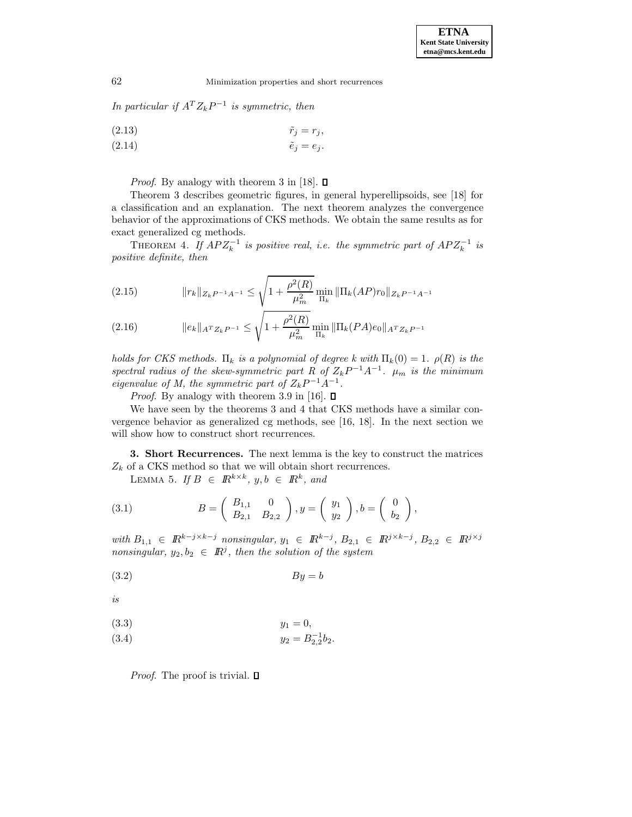In particular if  $A^T Z_k P^{-1}$  is symmetric, then

(2.13) 
$$
\tilde{r}_j = r_j,
$$
  
(2.14) 
$$
\tilde{e}_j = e_j.
$$

*Proof.* By analogy with theorem 3 in [18].  $\Box$ 

Theorem 3 describes geometric figures, in general hyperellipsoids, see [18] for a classification and an explanation. The next theorem analyzes the convergence behavior of the approximations of CKS methods. We obtain the same results as for exact generalized cg methods.

THEOREM 4. If  $APZ_k^{-1}$  is positive real, i.e. the symmetric part of  $APZ_k^{-1}$  is positive definite, then

(2.15) 
$$
||r_k||_{Z_k P^{-1}A^{-1}} \leq \sqrt{1 + \frac{\rho^2(R)}{\mu_m^2}} \min_{\Pi_k} ||\Pi_k(AP)r_0||_{Z_k P^{-1}A^{-1}}
$$

(2.16) 
$$
\|e_k\|_{A^T Z_k P^{-1}} \leq \sqrt{1 + \frac{\rho^2(R)}{\mu_m^2}} \min_{\Pi_k} \|\Pi_k (PA)e_0\|_{A^T Z_k P^{-1}}
$$

holds for CKS methods.  $\Pi_k$  is a polynomial of degree k with  $\Pi_k(0) = 1$ .  $\rho(R)$  is the spectral radius of the skew-symmetric part R of  $Z_k P^{-1} A^{-1}$ .  $\mu_m$  is the minimum eigenvalue of M, the symmetric part of  $Z_k P^{-1} A^{-1}$ .

*Proof.* By analogy with theorem 3.9 in [16].  $\square$ 

We have seen by the theorems 3 and 4 that CKS methods have a similar convergence behavior as generalized cg methods, see [16, 18]. In the next section we will show how to construct short recurrences.

**3. Short Recurrences.** The next lemma is the key to construct the matrices  $Z_k$  of a CKS method so that we will obtain short recurrences.

LEMMA 5. If  $B \in \mathbb{R}^{k \times k}$ ,  $y, b \in \mathbb{R}^k$ , and

(3.1) 
$$
B = \begin{pmatrix} B_{1,1} & 0 \\ B_{2,1} & B_{2,2} \end{pmatrix}, y = \begin{pmatrix} y_1 \\ y_2 \end{pmatrix}, b = \begin{pmatrix} 0 \\ b_2 \end{pmatrix},
$$

with  $B_{1,1} \in \mathbb{R}^{k-j \times k-j}$  nonsingular,  $y_1 \in \mathbb{R}^{k-j}$ ,  $B_{2,1} \in \mathbb{R}^{j \times k-j}$ ,  $B_{2,2} \in \mathbb{R}^{j \times j}$ nonsingular,  $y_2, b_2 \in \mathbb{R}^j$ , then the solution of the system

$$
(3.2) \t\t By = b
$$

is

$$
(3.3) \t\t y_1 = 0,
$$

$$
(3.4) \t\t y_2 = B_{2,2}^{-1}b_2.
$$

*Proof.* The proof is trivial.  $\square$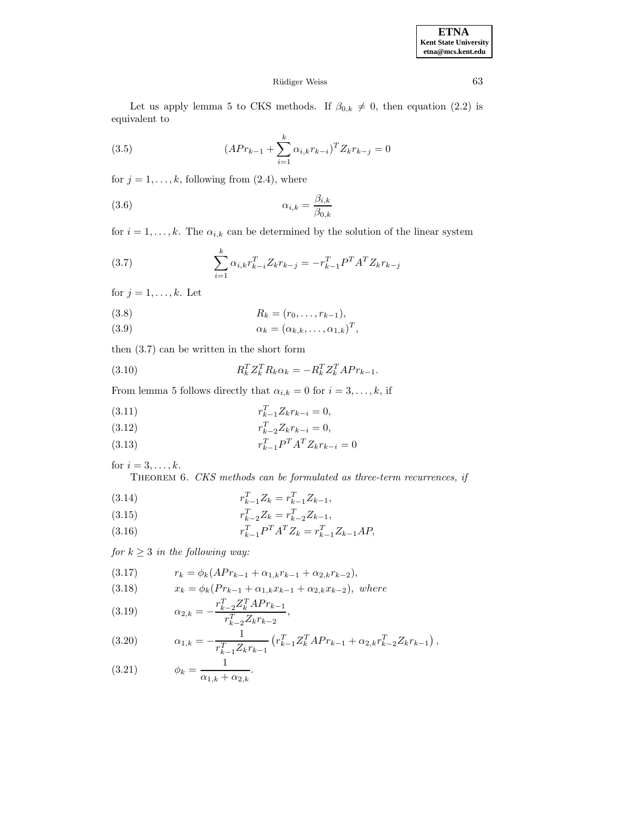# Rüdiger Weiss 63

Let us apply lemma 5 to CKS methods. If  $\beta_{0,k} \neq 0$ , then equation (2.2) is equivalent to

(3.5) 
$$
(APr_{k-1} + \sum_{i=1}^{k} \alpha_{i,k} r_{k-i})^T Z_k r_{k-j} = 0
$$

for  $j = 1, \ldots, k$ , following from (2.4), where

$$
\alpha_{i,k} = \frac{\beta_{i,k}}{\beta_{0,k}}
$$

for  $i = 1, \ldots, k$ . The  $\alpha_{i,k}$  can be determined by the solution of the linear system

(3.7) 
$$
\sum_{i=1}^{k} \alpha_{i,k} r_{k-i}^T Z_k r_{k-j} = -r_{k-1}^T P^T A^T Z_k r_{k-j}
$$

for  $j = 1, \ldots, k$ . Let

(3.8) 
$$
R_k = (r_0, \ldots, r_{k-1}),
$$

(3.9) 
$$
\alpha_k = (\alpha_{k,k}, \dots, \alpha_{1,k})^T,
$$

then (3.7) can be written in the short form

(3.10) 
$$
R_k^T Z_k^T R_k \alpha_k = -R_k^T Z_k^T A P r_{k-1}.
$$

From lemma 5 follows directly that  $\alpha_{i,k} = 0$  for  $i = 3, \ldots, k$ , if

(3.11) 
$$
r_{k-1}^T Z_k r_{k-i} = 0,
$$

(3.12) 
$$
r_{k-2}^T Z_k r_{k-i} = 0,
$$

(3.13) 
$$
r_{k-1}^T P^T A^T Z_k r_{k-i} = 0
$$

for  $i = 3, \ldots, k$ .

THEOREM 6. CKS methods can be formulated as three-term recurrences, if

(3.14) 
$$
r_{k-1}^T Z_k = r_{k-1}^T Z_{k-1},
$$

(3.15) 
$$
r_{k-2}^T Z_k = r_{k-2}^T Z_{k-1},
$$

(3.16) 
$$
r_{k-1}^T P^T A^T Z_k = r_{k-1}^T Z_{k-1} A P,
$$

for  $k \geq 3$  in the following way:

$$
(3.17) \t\t r_k = \phi_k(APr_{k-1} + \alpha_{1,k}r_{k-1} + \alpha_{2,k}r_{k-2}),
$$

(3.18) 
$$
x_k = \phi_k (Pr_{k-1} + \alpha_{1,k} x_{k-1} + \alpha_{2,k} x_{k-2}), \text{ where}
$$

(3.19) 
$$
\alpha_{2,k} = -\frac{r_{k-2}^T Z_k^T A Pr_{k-1}}{r_{k-2}^T Z_k r_{k-2}},
$$

(3.20) 
$$
\alpha_{1,k} = -\frac{1}{r_{k-1}^T Z_k r_{k-1}} \left( r_{k-1}^T Z_k^T A P r_{k-1} + \alpha_{2,k} r_{k-2}^T Z_k r_{k-1} \right),
$$

(3.21) 
$$
\phi_k = \frac{1}{\alpha_{1,k} + \alpha_{2,k}}.
$$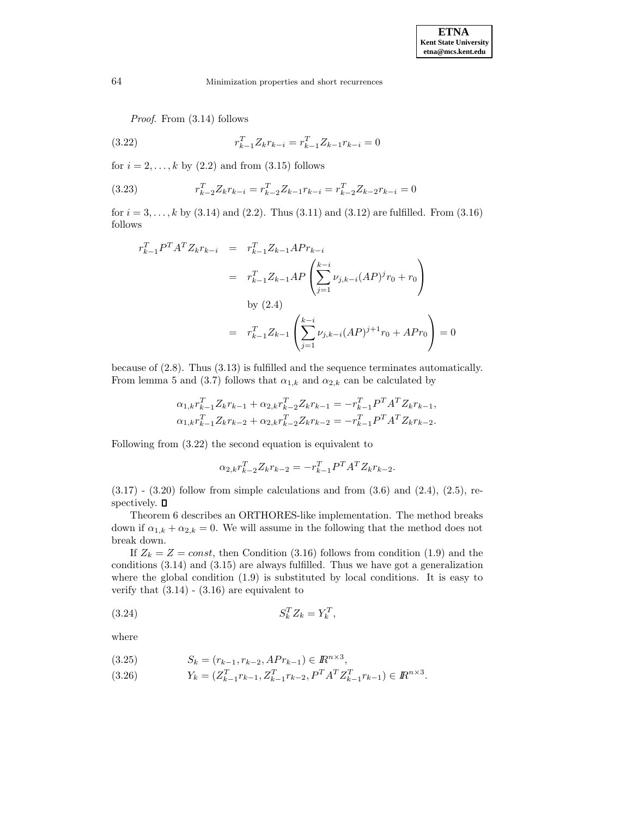Proof. From  $(3.14)$  follows

(3.22) 
$$
r_{k-1}^T Z_k r_{k-i} = r_{k-1}^T Z_{k-1} r_{k-i} = 0
$$

for  $i = 2, \ldots, k$  by  $(2.2)$  and from  $(3.15)$  follows

(3.23) 
$$
r_{k-2}^T Z_k r_{k-i} = r_{k-2}^T Z_{k-1} r_{k-i} = r_{k-2}^T Z_{k-2} r_{k-i} = 0
$$

for  $i = 3, ..., k$  by (3.14) and (2.2). Thus (3.11) and (3.12) are fulfilled. From (3.16) follows

$$
r_{k-1}^T P^T A^T Z_k r_{k-i} = r_{k-1}^T Z_{k-1} A P r_{k-i}
$$
  

$$
= r_{k-1}^T Z_{k-1} A P \left( \sum_{j=1}^{k-i} \nu_{j,k-i} (A P)^j r_0 + r_0 \right)
$$
  
by (2.4)  

$$
= r_{k-1}^T Z_{k-1} \left( \sum_{j=1}^{k-i} \nu_{j,k-i} (A P)^{j+1} r_0 + A P r_0 \right) = 0
$$

because of (2.8). Thus (3.13) is fulfilled and the sequence terminates automatically. From lemma 5 and (3.7) follows that  $\alpha_{1,k}$  and  $\alpha_{2,k}$  can be calculated by

$$
\alpha_{1,k}r_{k-1}^T Z_k r_{k-1} + \alpha_{2,k}r_{k-2}^T Z_k r_{k-1} = -r_{k-1}^T P^T A^T Z_k r_{k-1},
$$
  

$$
\alpha_{1,k}r_{k-1}^T Z_k r_{k-2} + \alpha_{2,k}r_{k-2}^T Z_k r_{k-2} = -r_{k-1}^T P^T A^T Z_k r_{k-2}.
$$

Following from (3.22) the second equation is equivalent to

$$
\alpha_{2,k} r_{k-2}^T Z_k r_{k-2} = -r_{k-1}^T P^T A^T Z_k r_{k-2}.
$$

 $(3.17)$  -  $(3.20)$  follow from simple calculations and from  $(3.6)$  and  $(2.4)$ ,  $(2.5)$ , respectively.  $\Box$ 

Theorem 6 describes an ORTHORES-like implementation. The method breaks down if  $\alpha_{1,k} + \alpha_{2,k} = 0$ . We will assume in the following that the method does not break down.

If  $Z_k = Z = const$ , then Condition (3.16) follows from condition (1.9) and the conditions (3.14) and (3.15) are always fulfilled. Thus we have got a generalization where the global condition  $(1.9)$  is substituted by local conditions. It is easy to verify that  $(3.14)$  -  $(3.16)$  are equivalent to

$$
(3.24) \t\t S_k^T Z_k = Y_k^T,
$$

where

$$
(3.25) \t S_k = (r_{k-1}, r_{k-2}, APr_{k-1}) \in I\!\!R^{n \times 3},
$$

(3.26) 
$$
Y_k = (Z_{k-1}^T r_{k-1}, Z_{k-1}^T r_{k-2}, P^T A^T Z_{k-1}^T r_{k-1}) \in \mathbb{R}^{n \times 3}.
$$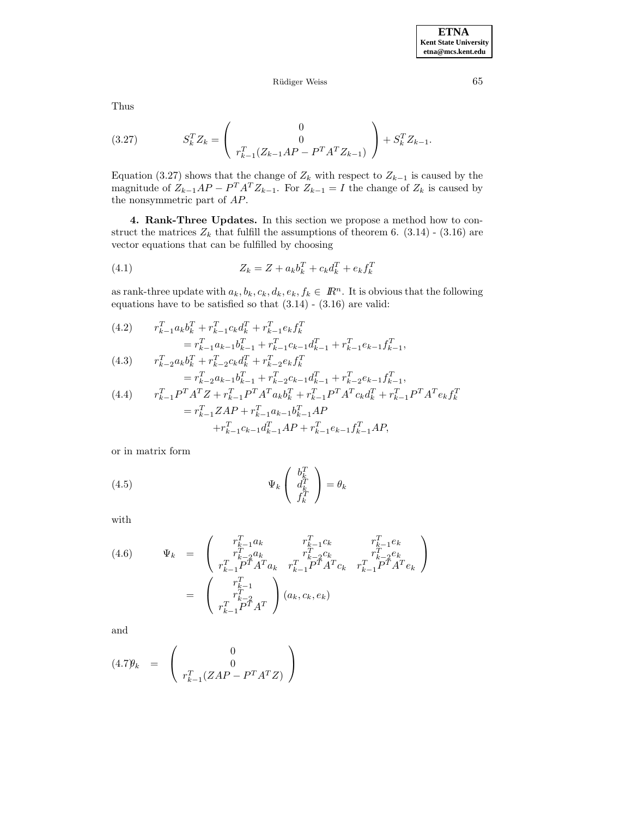Thus

(3.27) 
$$
S_k^T Z_k = \begin{pmatrix} 0 \\ 0 \\ r_{k-1}^T (Z_{k-1} A P - P^T A^T Z_{k-1}) \end{pmatrix} + S_k^T Z_{k-1}.
$$

Equation (3.27) shows that the change of  $Z_k$  with respect to  $Z_{k-1}$  is caused by the magnitude of  $Z_{k-1}AP - P^T A^T Z_{k-1}$ . For  $Z_{k-1} = I$  the change of  $Z_k$  is caused by the nonsymmetric part of AP.

**4. Rank-Three Updates.** In this section we propose a method how to construct the matrices  $Z_k$  that fulfill the assumptions of theorem 6. (3.14) - (3.16) are vector equations that can be fulfilled by choosing

(4.1) 
$$
Z_k = Z + a_k b_k^T + c_k d_k^T + e_k f_k^T
$$

as rank-three update with  $a_k, b_k, c_k, d_k, e_k, f_k \in \mathbb{R}^n$ . It is obvious that the following equations have to be satisfied so that  $(3.14)$  -  $(3.16)$  are valid:

(4.2) 
$$
r_{k-1}^T a_k b_k^T + r_{k-1}^T c_k d_k^T + r_{k-1}^T e_k f_k^T
$$

$$
= r_{k-1}^T a_{k-1} b_{k-1}^T + r_{k-1}^T c_{k-1} d_{k-1}^T + r_{k-1}^T e_{k-1} f_{k-1}^T,
$$

(4.3) 
$$
r_{k-2}^T a_k b_k^T + r_{k-2}^T c_k d_k^T + r_{k-2}^T e_k f_k^T
$$

$$
= r_{k-2}^T a_{k-1} b_{k-1}^T + r_{k-2}^T c_{k-1} d_{k-1}^T + r_{k-2}^T e_{k-1} f_{k-1}^T,
$$

$$
r_{k-1}^T P^T A^T Z + r_{k-1}^T P^T A^T a_k b_k^T + r_{k-1}^T P^T A^T c_k d_k^T + r_{k-1}^T P^T A^T e_k f_k^T
$$

$$
= r_{k-1}^T Z A P + r_{k-1}^T a_{k-1} b_{k-1}^T A P
$$

$$
+ r_{k-1}^T c_{k-1} d_{k-1}^T A P + r_{k-1}^T e_{k-1} f_{k-1}^T A P,
$$

or in matrix form

(4.5) 
$$
\Psi_k \begin{pmatrix} b_k^T \\ d_k^T \\ f_k^T \end{pmatrix} = \theta_k
$$

with

(4.6) 
$$
\Psi_k = \begin{pmatrix} r_{k-1}^T a_k & r_{k-1}^T c_k & r_{k-1}^T e_k \\ r_{k-2}^T a_k & r_{k-2}^T c_k & r_{k-2}^T e_k \\ r_{k-1}^T P^T A^T a_k & r_{k-1}^T P^T A^T c_k & r_{k-1}^T P^T A^T e_k \end{pmatrix}
$$

$$
= \begin{pmatrix} r_{k-1}^T \\ r_{k-2}^T \\ r_{k-1}^T P^T A^T \end{pmatrix} (a_k, c_k, e_k)
$$

and

$$
(4.7)\mathcal{Y}_k = \begin{pmatrix} 0 \\ 0 \\ r_{k-1}^T(ZAP - P^T A^T Z) \end{pmatrix}
$$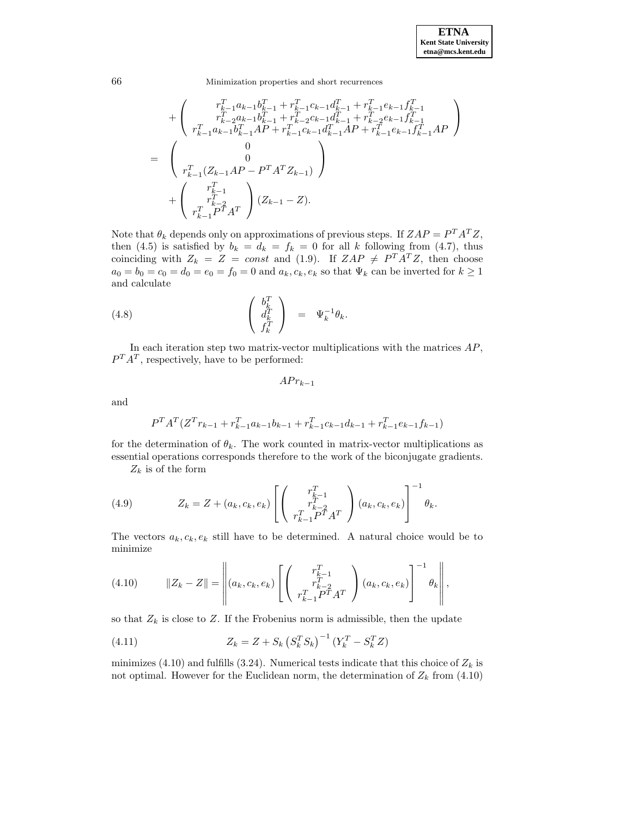66 Minimization properties and short recurrences

$$
+ \left(\begin{array}{c} r_{k-1}^T a_{k-1} b_{k-1}^T + r_{k-1}^T c_{k-1} d_{k-1}^T + r_{k-1}^T e_{k-1} f_{k-1}^T \\ r_{k-2}^T a_{k-1} b_{k-1}^T + r_{k-2}^T c_{k-1} d_{k-1}^T + r_{k-2}^T e_{k-1} f_{k-1}^T \\ r_{k-1}^T a_{k-1} b_{k-1}^T A P + r_{k-1}^T c_{k-1} d_{k-1}^T A P + r_{k-1}^T e_{k-1} f_{k-1}^T A P \\ \hline \\ r_{k-1}^T (Z_{k-1} A P - P^T A^T Z_{k-1}) \end{array}\right)
$$
  
+ 
$$
\left(\begin{array}{c} 0 \\ 0 \\ r_{k-1}^T \\ r_{k-2}^T \\ r_{k-1}^T P^T A^T \end{array}\right) (Z_{k-1} - Z).
$$

Note that  $\theta_k$  depends only on approximations of previous steps. If  $ZAP = P^T A^T Z$ , then (4.5) is satisfied by  $b_k = d_k = f_k = 0$  for all k following from (4.7), thus coinciding with  $Z_k = Z = const$  and (1.9). If  $ZAP \neq P^{T}A^{T}Z$ , then choose  $a_0 = b_0 = c_0 = d_0 = e_0 = f_0 = 0$  and  $a_k, c_k, e_k$  so that  $\Psi_k$  can be inverted for  $k \ge 1$ and calculate

(4.8) 
$$
\begin{pmatrix} b_k^T \\ d_k^T \\ f_k^T \end{pmatrix} = \Psi_k^{-1} \theta_k.
$$

In each iteration step two matrix-vector multiplications with the matrices  $AP$ ,  $P^{T}A^{T}$ , respectively, have to be performed:

$$
APr_{k-1}
$$

and

$$
P^{T}A^{T}(Z^{T}r_{k-1} + r_{k-1}^{T}a_{k-1}b_{k-1} + r_{k-1}^{T}c_{k-1}d_{k-1} + r_{k-1}^{T}e_{k-1}f_{k-1})
$$

for the determination of  $\theta_k$ . The work counted in matrix-vector multiplications as essential operations corresponds therefore to the work of the biconjugate gradients.

 $Z_k$  is of the form

(4.9) 
$$
Z_k = Z + (a_k, c_k, e_k) \left[ \begin{pmatrix} r_{k-1}^T \\ r_{k-2}^T \\ r_{k-1}^T P^T A^T \end{pmatrix} (a_k, c_k, e_k) \right]^{-1} \theta_k.
$$

The vectors  $a_k, c_k, e_k$  still have to be determined. A natural choice would be to minimize

(4.10) 
$$
||Z_{k} - Z|| = \left\| (a_{k}, c_{k}, e_{k}) \left[ \left( \begin{array}{c} r_{k-1}^{T} \\ r_{k-2}^{T} \\ r_{k-1}^{T} P^{T} A^{T} \end{array} \right) (a_{k}, c_{k}, e_{k}) \right]^{-1} \theta_{k} \right\|,
$$

so that  $Z_k$  is close to Z. If the Frobenius norm is admissible, then the update

(4.11) 
$$
Z_k = Z + S_k \left( S_k^T S_k \right)^{-1} \left( Y_k^T - S_k^T Z \right)
$$

minimizes (4.10) and fulfills (3.24). Numerical tests indicate that this choice of  $Z_k$  is not optimal. However for the Euclidean norm, the determination of  $Z_k$  from (4.10)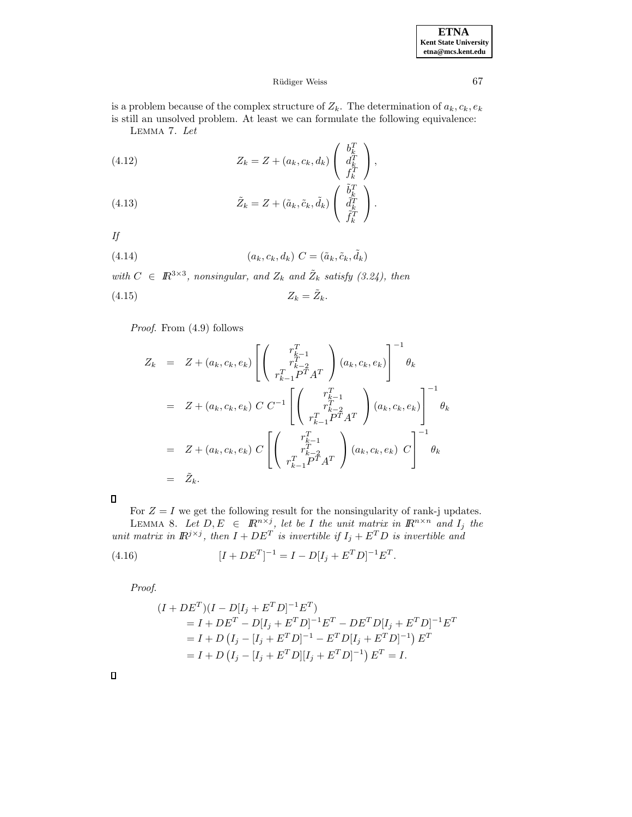## Rüdiger Weiss 67

is a problem because of the complex structure of  $Z_k$ . The determination of  $a_k, c_k, e_k$ is still an unsolved problem. At least we can formulate the following equivalence:

Lemma 7. Let

(4.12) 
$$
Z_k = Z + (a_k, c_k, d_k) \begin{pmatrix} b_k^T \\ d_k^T \\ f_k^T \end{pmatrix},
$$

(4.13) 
$$
\tilde{Z}_k = Z + (\tilde{a}_k, \tilde{c}_k, \tilde{d}_k) \begin{pmatrix} \tilde{b}_k^T \\ \tilde{d}_k^T \\ \tilde{f}_k^T \end{pmatrix}.
$$

If

(4.14) 
$$
(a_k, c_k, d_k) \ C = (\tilde{a}_k, \tilde{c}_k, \tilde{d}_k)
$$

with  $C \in \mathbb{R}^{3 \times 3}$ , nonsingular, and  $Z_k$  and  $\tilde{Z}_k$  satisfy (3.24), then (4.15)  $Z_k = \tilde{Z}_k$ .

Proof. From  $(4.9)$  follows

$$
Z_k = Z + (a_k, c_k, e_k) \left[ \begin{pmatrix} r_{k-1}^T \\ r_{k-2}^T \\ r_{k-1}^T P^T A^T \end{pmatrix} (a_k, c_k, e_k) \right]^{-1} \theta_k
$$
  
\n
$$
= Z + (a_k, c_k, e_k) C C^{-1} \left[ \begin{pmatrix} r_{k-1}^T \\ r_{k-2}^T \\ r_{k-1}^T P^T A^T \end{pmatrix} (a_k, c_k, e_k) \right]^{-1} \theta_k
$$
  
\n
$$
= Z + (a_k, c_k, e_k) C \left[ \begin{pmatrix} r_{k-1}^T \\ r_{k-1}^T P^T A^T \end{pmatrix} (a_k, c_k, e_k) C \right]^{-1} \theta_k
$$
  
\n
$$
= \tilde{Z}_k.
$$

For  $Z = I$  we get the following result for the nonsingularity of rank-j updates. LEMMA 8. Let  $D, E \in \mathbb{R}^{n \times j}$ , let be I the unit matrix in  $\mathbb{R}^{n \times n}$  and  $I_j$  the unit matrix in  $\mathbb{R}^{j \times j}$ , then  $I + DE^T$  is invertible if  $I_j + E^T D$  is invertible and

(4.16) 
$$
[I + DE^T]^{-1} = I - D[I_j + E^T D]^{-1} E^T.
$$

Proof.

$$
(I + DET)(I - D[Ij + ET D]^{-1} ET)
$$
  
= I + DE<sup>T</sup> - D[I<sub>j</sub> + E<sup>T</sup> D]^{-1} E<sup>T</sup> - DE<sup>T</sup> D[I<sub>j</sub> + E<sup>T</sup> D]^{-1} E<sup>T</sup>  
= I + D (I<sub>j</sub> - [I<sub>j</sub> + E<sup>T</sup> D]^{-1} - E<sup>T</sup> D[I<sub>j</sub> + E<sup>T</sup> D]^{-1}) E<sup>T</sup>  
= I + D (I<sub>j</sub> - [I<sub>j</sub> + E<sup>T</sup> D][I<sub>j</sub> + E<sup>T</sup> D]^{-1}) E<sup>T</sup> = I.

 $\Box$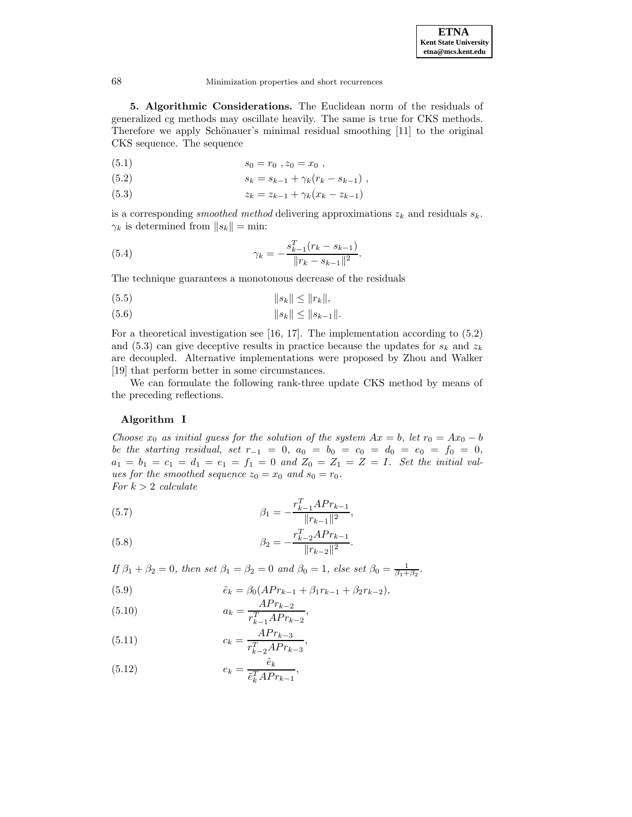**5. Algorithmic Considerations.** The Euclidean norm of the residuals of generalized cg methods may oscillate heavily. The same is true for CKS methods. Therefore we apply Schönauer's minimal residual smoothing  $[11]$  to the original CKS sequence. The sequence

$$
(5.1) \t\t s_0 = r_0, z_0 = x_0,
$$

(5.2) 
$$
s_k = s_{k-1} + \gamma_k (r_k - s_{k-1}),
$$

(5.3) 
$$
z_k = z_{k-1} + \gamma_k (x_k - z_{k-1})
$$

is a corresponding smoothed method delivering approximations  $z_k$  and residuals  $s_k$ .  $\gamma_k$  is determined from  $||s_k|| = \text{min}:$ 

(5.4) 
$$
\gamma_k = -\frac{s_{k-1}^T (r_k - s_{k-1})}{\|r_k - s_{k-1}\|^2}.
$$

The technique guarantees a monotonous decrease of the residuals

$$
(5.5) \t\t\t\t\t||s_k|| \le ||r_k||,
$$

$$
(5.6) \t\t\t\t\t||s_k|| \le ||s_{k-1}||.
$$

For a theoretical investigation see [16, 17]. The implementation according to (5.2) and (5.3) can give deceptive results in practice because the updates for  $s_k$  and  $z_k$ are decoupled. Alternative implementations were proposed by Zhou and Walker [19] that perform better in some circumstances.

We can formulate the following rank-three update CKS method by means of the preceding reflections.

### **Algorithm I**

Choose  $x_0$  as initial guess for the solution of the system  $Ax = b$ , let  $r_0 = Ax_0 - b$ be the starting residual, set  $r_{-1} = 0$ ,  $a_0 = b_0 = c_0 = d_0 = e_0 = f_0 = 0$ ,  $a_1 = b_1 = c_1 = d_1 = e_1 = f_1 = 0$  and  $Z_0 = Z_1 = Z = I$ . Set the initial values for the smoothed sequence  $z_0 = x_0$  and  $s_0 = r_0$ . For  $k > 2$  calculate

(5.7) 
$$
\beta_1 = -\frac{r_{k-1}^T A Pr_{k-1}}{\|r_{k-1}\|^2},
$$

(5.8) 
$$
\beta_2 = -\frac{r_{k-2}^T A Pr_{k-1}}{||r_{k-2}||^2}.
$$

If  $\beta_1 + \beta_2 = 0$ , then set  $\beta_1 = \beta_2 = 0$  and  $\beta_0 = 1$ , else set  $\beta_0 = \frac{1}{\beta_1 + \beta_2}$ .

(5.9) 
$$
\tilde{e}_k = \beta_0 (APr_{k-1} + \beta_1 r_{k-1} + \beta_2 r_{k-2}),
$$

(5.10) 
$$
a_k = \frac{APr_{k-2}}{r_{k-1}^TAPr_{k-2}},
$$

(5.11) 
$$
c_k = \frac{APr_{k-3}}{r_{k-2}^TAPr_{k-3}},
$$

(5.12) 
$$
e_k = \frac{\tilde{e}_k}{\tilde{e}_k^T A Pr_{k-1}},
$$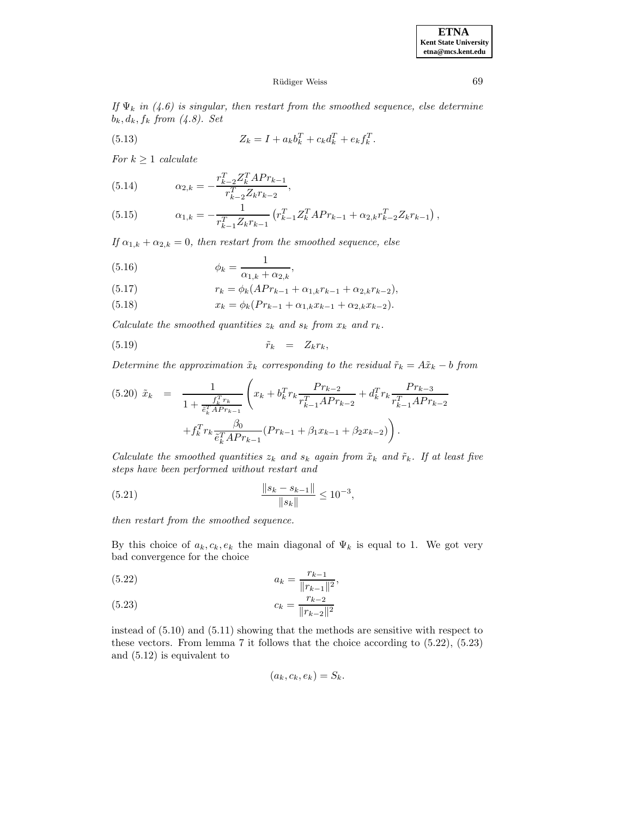### Rüdiger Weiss 69

If  $\Psi_k$  in (4.6) is singular, then restart from the smoothed sequence, else determine  $b_k, d_k, f_k$  from  $(4.8)$ . Set

(5.13) 
$$
Z_k = I + a_k b_k^T + c_k d_k^T + e_k f_k^T.
$$

For  $k \geq 1$  calculate

(5.14) 
$$
\alpha_{2,k} = -\frac{r_{k-2}^T Z_k^T A Pr_{k-1}}{r_{k-2}^T Z_k r_{k-2}},
$$

(5.15) 
$$
\alpha_{1,k} = -\frac{1}{r_{k-1}^T Z_k r_{k-1}} \left( r_{k-1}^T Z_k^T A P r_{k-1} + \alpha_{2,k} r_{k-2}^T Z_k r_{k-1} \right),
$$

If  $\alpha_{1,k} + \alpha_{2,k} = 0$ , then restart from the smoothed sequence, else

(5.16) 
$$
\phi_k = \frac{1}{\alpha_{1,k} + \alpha_{2,k}},
$$

(5.17) 
$$
r_k = \phi_k(APr_{k-1} + \alpha_{1,k}r_{k-1} + \alpha_{2,k}r_{k-2}),
$$

(5.18)  $x_k = \phi_k(Pr_{k-1} + \alpha_{1,k}x_{k-1} + \alpha_{2,k}x_{k-2}).$ 

Calculate the smoothed quantities  $z_k$  and  $s_k$  from  $x_k$  and  $r_k$ .

$$
\tilde{r}_k = Z_k r_k,
$$

Determine the approximation  $\tilde{x}_k$  corresponding to the residual  $\tilde{r}_k = A\tilde{x}_k - b$  from

$$
(5.20) \ \tilde{x}_k = \frac{1}{1 + \frac{f_k^T r_k}{\tilde{e}_k^T A P r_{k-1}}} \left( x_k + b_k^T r_k \frac{P r_{k-2}}{r_{k-1}^T A P r_{k-2}} + d_k^T r_k \frac{P r_{k-3}}{r_{k-1}^T A P r_{k-2}} + f_k^T r_k \frac{\beta_0}{\tilde{e}_k^T A P r_{k-1}} (P r_{k-1} + \beta_1 x_{k-1} + \beta_2 x_{k-2}) \right).
$$

Calculate the smoothed quantities  $z_k$  and  $s_k$  again from  $\tilde{x}_k$  and  $\tilde{r}_k$ . If at least five steps have been performed without restart and

(5.21) 
$$
\frac{\|s_k - s_{k-1}\|}{\|s_k\|} \le 10^{-3},
$$

then restart from the smoothed sequence.

By this choice of  $a_k, c_k, e_k$  the main diagonal of  $\Psi_k$  is equal to 1. We got very bad convergence for the choice

(5.22) 
$$
a_k = \frac{r_{k-1}}{\|r_{k-1}\|^2},
$$

(5.23) 
$$
c_k = \frac{r_{k-2}}{\|r_{k-2}\|^2}
$$

instead of (5.10) and (5.11) showing that the methods are sensitive with respect to these vectors. From lemma 7 it follows that the choice according to (5.22), (5.23) and (5.12) is equivalent to

$$
(a_k, c_k, e_k) = S_k.
$$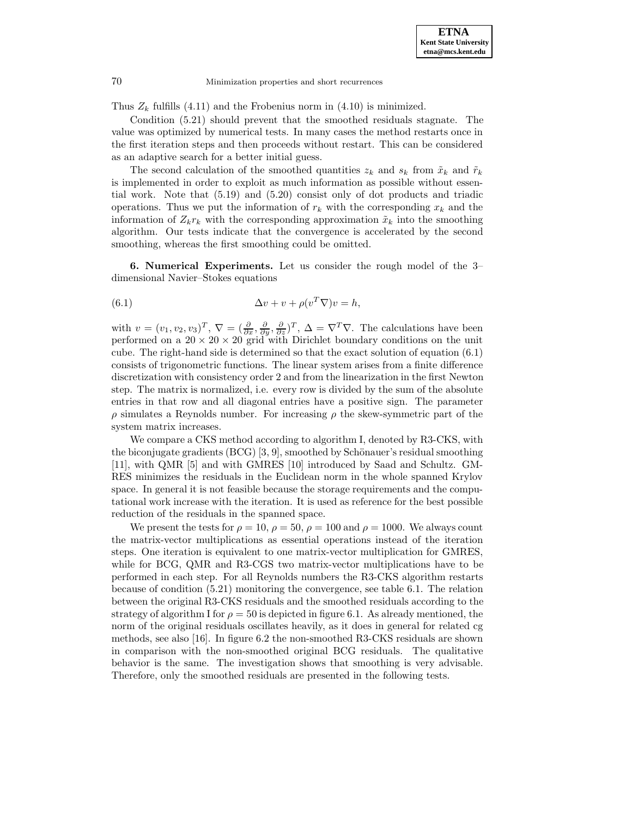Thus  $Z_k$  fulfills (4.11) and the Frobenius norm in (4.10) is minimized.

Condition (5.21) should prevent that the smoothed residuals stagnate. The value was optimized by numerical tests. In many cases the method restarts once in the first iteration steps and then proceeds without restart. This can be considered as an adaptive search for a better initial guess.

The second calculation of the smoothed quantities  $z_k$  and  $s_k$  from  $\tilde{x}_k$  and  $\tilde{r}_k$ is implemented in order to exploit as much information as possible without essential work. Note that (5.19) and (5.20) consist only of dot products and triadic operations. Thus we put the information of  $r_k$  with the corresponding  $x_k$  and the information of  $Z_kr_k$  with the corresponding approximation  $\tilde{x}_k$  into the smoothing algorithm. Our tests indicate that the convergence is accelerated by the second smoothing, whereas the first smoothing could be omitted.

**6. Numerical Experiments.** Let us consider the rough model of the 3– dimensional Navier–Stokes equations

(6.1) 
$$
\Delta v + v + \rho (v^T \nabla) v = h,
$$

with  $v = (v_1, v_2, v_3)^T$ ,  $\nabla = (\frac{\partial}{\partial x}, \frac{\partial}{\partial y}, \frac{\partial}{\partial z})^T$ ,  $\Delta = \nabla^T \nabla$ . The calculations have been performed on a  $20 \times 20 \times 20$  grid with Dirichlet boundary conditions on the unit cube. The right-hand side is determined so that the exact solution of equation (6.1) consists of trigonometric functions. The linear system arises from a finite difference discretization with consistency order 2 and from the linearization in the first Newton step. The matrix is normalized, i.e. every row is divided by the sum of the absolute entries in that row and all diagonal entries have a positive sign. The parameter  $\rho$  simulates a Reynolds number. For increasing  $\rho$  the skew-symmetric part of the system matrix increases.

We compare a CKS method according to algorithm I, denoted by R3-CKS, with the biconjugate gradients  $(BCG)$  [3, 9], smoothed by Schönauer's residual smoothing [11], with QMR [5] and with GMRES [10] introduced by Saad and Schultz. GM-RES minimizes the residuals in the Euclidean norm in the whole spanned Krylov space. In general it is not feasible because the storage requirements and the computational work increase with the iteration. It is used as reference for the best possible reduction of the residuals in the spanned space.

We present the tests for  $\rho = 10$ ,  $\rho = 50$ ,  $\rho = 100$  and  $\rho = 1000$ . We always count the matrix-vector multiplications as essential operations instead of the iteration steps. One iteration is equivalent to one matrix-vector multiplication for GMRES, while for BCG, QMR and R3-CGS two matrix-vector multiplications have to be performed in each step. For all Reynolds numbers the R3-CKS algorithm restarts because of condition (5.21) monitoring the convergence, see table 6.1. The relation between the original R3-CKS residuals and the smoothed residuals according to the strategy of algorithm I for  $\rho = 50$  is depicted in figure 6.1. As already mentioned, the norm of the original residuals oscillates heavily, as it does in general for related cg methods, see also [16]. In figure 6.2 the non-smoothed R3-CKS residuals are shown in comparison with the non-smoothed original BCG residuals. The qualitative behavior is the same. The investigation shows that smoothing is very advisable. Therefore, only the smoothed residuals are presented in the following tests.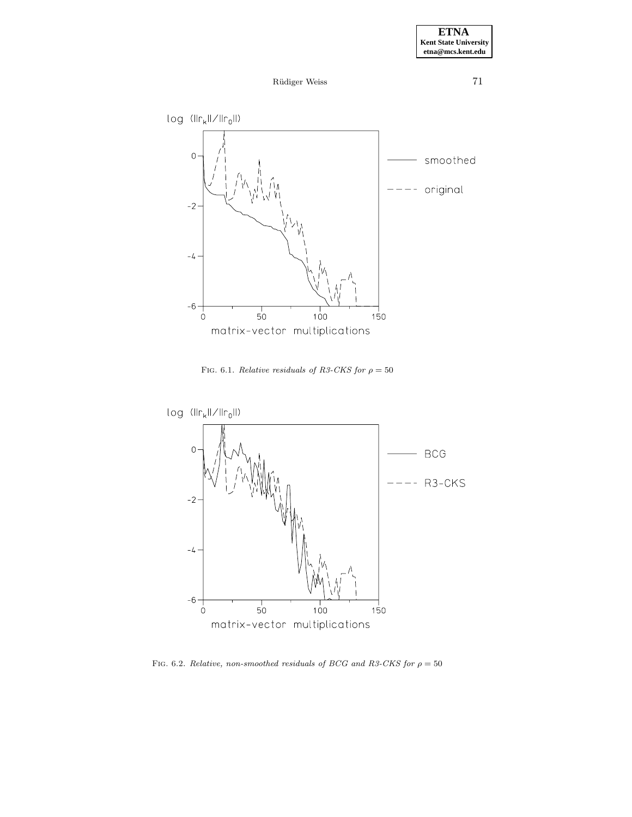



FIG. 6.1. Relative residuals of R3-CKS for  $\rho=50$ 



FIG. 6.2. Relative, non-smoothed residuals of BCG and R3-CKS for  $\rho = 50$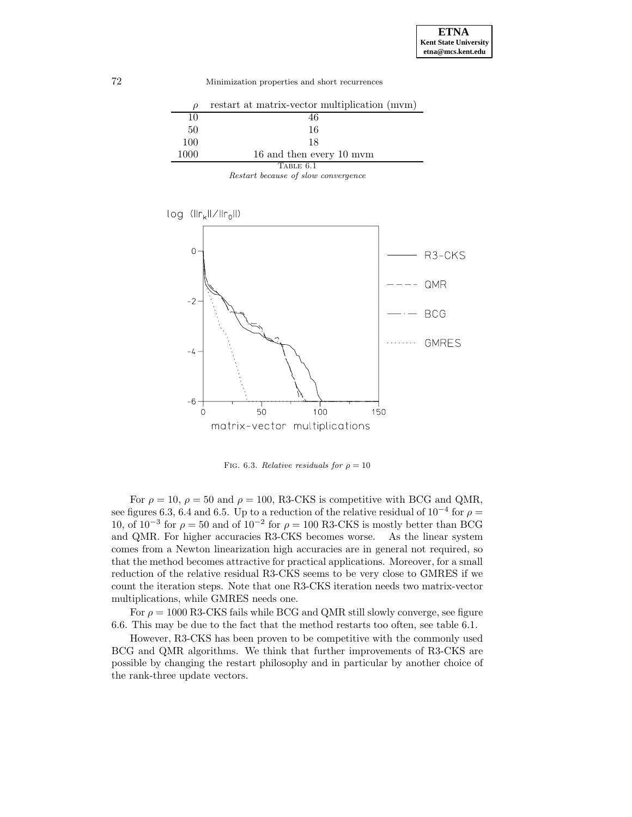| Ω         | restart at matrix-vector multiplication (mvm) |  |
|-----------|-----------------------------------------------|--|
| 10        | 46                                            |  |
| 50        | 16                                            |  |
| 100       | 18                                            |  |
| 1000      | 16 and then every 10 mym                      |  |
| Table 6.1 |                                               |  |

Restart because of slow convergence



FIG. 6.3. Relative residuals for  $\rho = 10$ 

For  $\rho = 10$ ,  $\rho = 50$  and  $\rho = 100$ , R3-CKS is competitive with BCG and QMR, see figures 6.3, 6.4 and 6.5. Up to a reduction of the relative residual of  $10^{-4}$  for  $\rho =$ 10, of  $10^{-3}$  for  $\rho = 50$  and of  $10^{-2}$  for  $\rho = 100$  R3-CKS is mostly better than BCG and QMR. For higher accuracies R3-CKS becomes worse. As the linear system comes from a Newton linearization high accuracies are in general not required, so that the method becomes attractive for practical applications. Moreover, for a small reduction of the relative residual R3-CKS seems to be very close to GMRES if we count the iteration steps. Note that one R3-CKS iteration needs two matrix-vector multiplications, while GMRES needs one.

For  $\rho = 1000$  R3-CKS fails while BCG and QMR still slowly converge, see figure 6.6. This may be due to the fact that the method restarts too often, see table 6.1.

However, R3-CKS has been proven to be competitive with the commonly used BCG and QMR algorithms. We think that further improvements of R3-CKS are possible by changing the restart philosophy and in particular by another choice of the rank-three update vectors.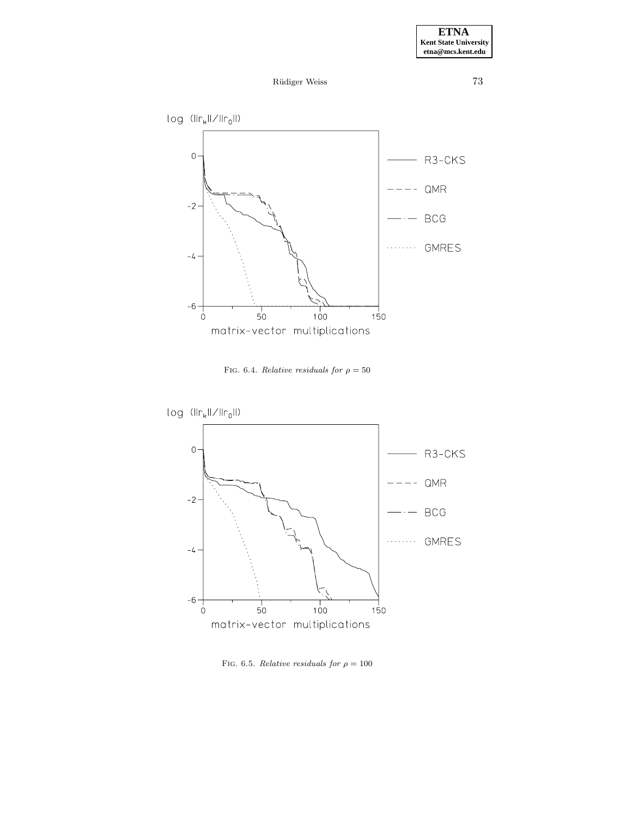



FIG. 6.4. *Relative residuals for*  $\rho = 50$ 



FIG. 6.5. Relative residuals for  $\rho = 100$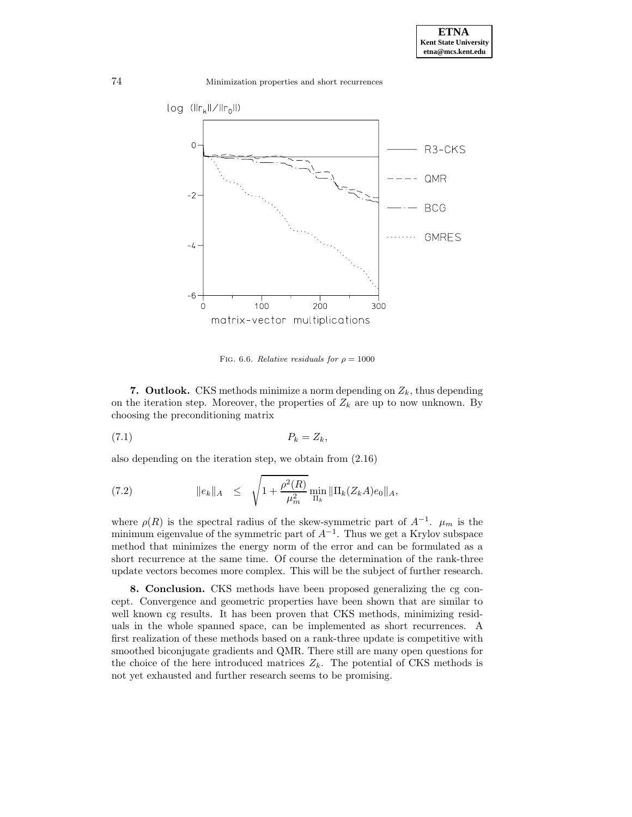

FIG. 6.6. Relative residuals for  $\rho = 1000$ 

**7. Outlook.** CKS methods minimize a norm depending on  $Z_k$ , thus depending on the iteration step. Moreover, the properties of  $Z_k$  are up to now unknown. By choosing the preconditioning matrix

$$
(7.1) \t\t P_k = Z_k,
$$

also depending on the iteration step, we obtain from (2.16)

(7.2) 
$$
\|e_k\|_A \leq \sqrt{1+\frac{\rho^2(R)}{\mu_m^2}} \min_{\Pi_k} \|\Pi_k(Z_kA)e_0\|_A,
$$

where  $\rho(R)$  is the spectral radius of the skew-symmetric part of  $A^{-1}$ .  $\mu_m$  is the minimum eigenvalue of the symmetric part of  $A^{-1}$ . Thus we get a Krylov subspace method that minimizes the energy norm of the error and can be formulated as a short recurrence at the same time. Of course the determination of the rank-three update vectors becomes more complex. This will be the subject of further research.

**8. Conclusion.** CKS methods have been proposed generalizing the cg concept. Convergence and geometric properties have been shown that are similar to well known cg results. It has been proven that CKS methods, minimizing residuals in the whole spanned space, can be implemented as short recurrences. A first realization of these methods based on a rank-three update is competitive with smoothed biconjugate gradients and QMR. There still are many open questions for the choice of the here introduced matrices  $Z_k$ . The potential of CKS methods is not yet exhausted and further research seems to be promising.